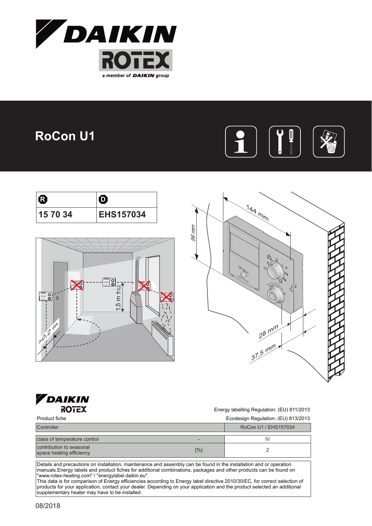

## **RoCon U1**



| ß        |                  |  |
|----------|------------------|--|
| 15 70 34 | <b>EHS157034</b> |  |







Energy labelling Regulation: (EU) 811/2013

Product fiche Ecodesign Regulation: (EU) 813/2013

| Controller                                           |     | RoCon U1 / EHS157034 |
|------------------------------------------------------|-----|----------------------|
| class of temperature control                         |     |                      |
| contribution to seasonal<br>space heating efficiency | [%] |                      |

Details and precautions on installation, maintenance and assembly can be found in the installation and or operation manuals.Energy labels and product fiches for additional combinations, packages and other products can be found on "www.rotex-heating.com" / "energylabel.daikin.eu".

This data is for comparison of Energy efficiencies according to Energy label directive 2010/30/EC, for correct selection of products for your application, contact your dealer. Depending on your application and the product selected an additional<br>supplementary heater may have to be installed.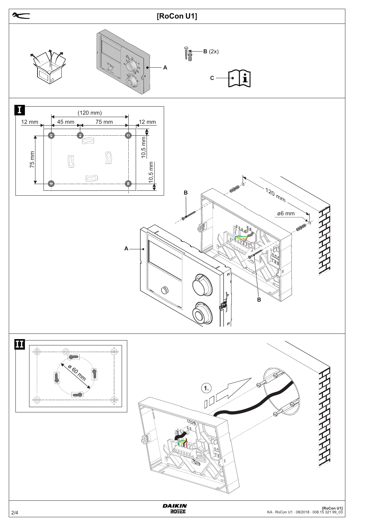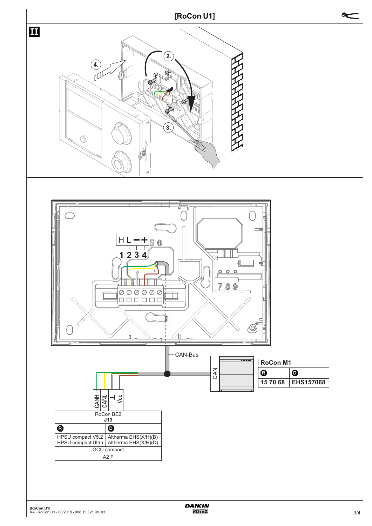